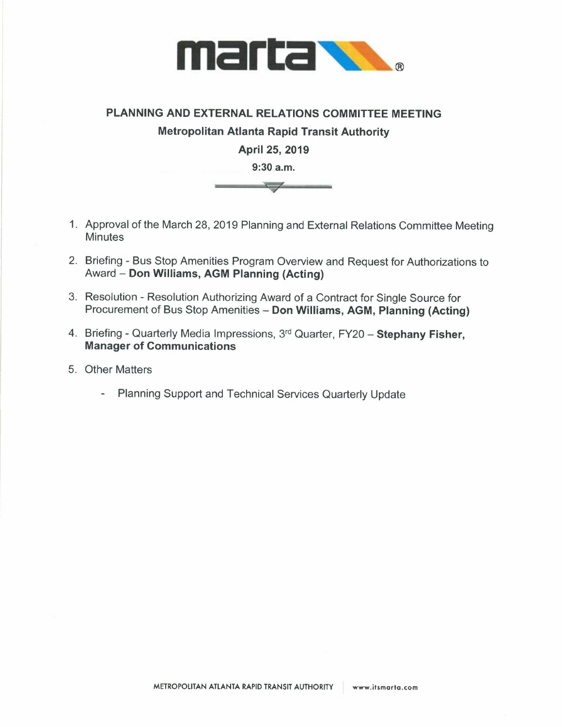

## **PLANNING AND EXTERNAL RELATIONS COMMITTEE MEETING Metropolitan Atlanta Rapid Transit Authority April 25, 2019 9:30 a.m.**   $\overline{\smile}$

- 1. Approval of the March 28, 2019 Planning and External Relations Committee Meeting **Minutes**
- 2. Briefing Bus Stop Amenities Program Overview and Request for Authorizations to Award - **Don Williams, AGM Planning (Acting)**
- 3. Resolution Resolution Authorizing Award of a Contract for Single Source for Procurement of Bus Stop Amenities - **Don Williams, AGM, Planning (Acting)**
- 4. Briefing Quarterly Media Impressions, 3 rd Quarter, FY20 **Stephany Fisher, Manager of Communications**
- 5. Other Matters
	- Planning Support and Technical Services Quarterly Update  $\mathbf{L}^{\text{max}}$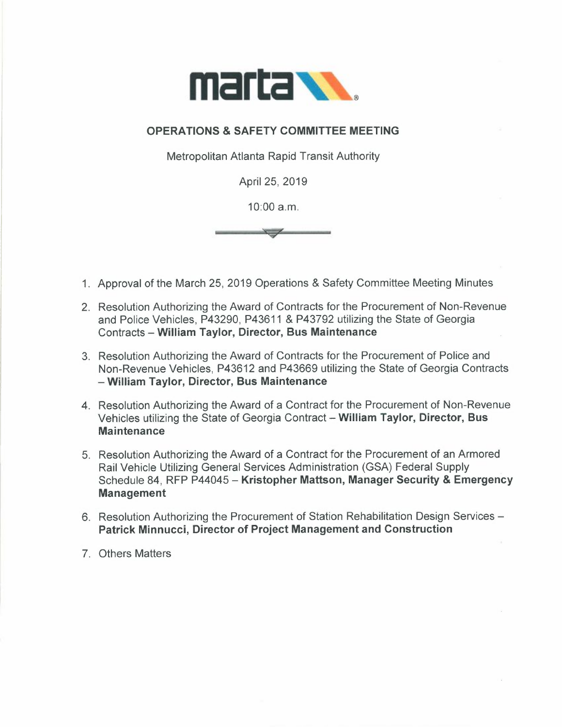

## **OPERATIONS & SAFETY COMMITTEE MEETING**

Metropolitan Atlanta Rapid Transit Authority

April 25, 2019

10:00 a.m.

1. Approval of the March 25, 2019 Operations & Safety Committee Meeting Minutes

- 2. Resolution Authorizing the Award of Contracts for the Procurement of Non-Revenue and Police Vehicles, P43290, P43611 & P43792 utilizing the State of Georgia Contracts - **William Taylor, Director, Bus Maintenance**
- 3. Resolution Authorizing the Award of Contracts for the Procurement of Police and Non-Revenue Vehicles, P43612 and P43669 utilizing the State of Georgia Contracts **- William Taylor, Director, Bus Maintenance**
- 4. Resolution Authorizing the Award of a Contract for the Procurement of Non-Revenue Vehicles utilizing the State of Georgia Contract - **William Taylor, Director, Bus Maintenance**
- 5. Resolution Authorizing the Award of a Contract for the Procurement of an Armored Rail Vehicle Utilizing General Services Administration (GSA) Federal Supply Schedule 84, RFP P44045 - **Kristopher Mattson, Manager Security & Emergency Management**
- 6. Resolution Authorizing the Procurement of Station Rehabilitation Design Services **Patrick Minnucci, Director of Project Management and Construction**
- 7. Others Matters